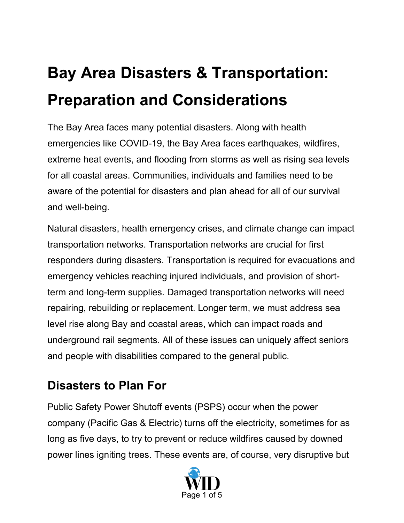## **Bay Area Disasters & Transportation: Preparation and Considerations**

The Bay Area faces many potential disasters. Along with health emergencies like COVID-19, the Bay Area faces earthquakes, wildfires, extreme heat events, and flooding from storms as well as rising sea levels for all coastal areas. Communities, individuals and families need to be aware of the potential for disasters and plan ahead for all of our survival and well-being.

Natural disasters, health emergency crises, and climate change can impact transportation networks. Transportation networks are crucial for first responders during disasters. Transportation is required for evacuations and emergency vehicles reaching injured individuals, and provision of shortterm and long-term supplies. Damaged transportation networks will need repairing, rebuilding or replacement. Longer term, we must address sea level rise along Bay and coastal areas, which can impact roads and underground rail segments. All of these issues can uniquely affect seniors and people with disabilities compared to the general public.

## **Disasters to Plan For**

Public Safety Power Shutoff events (PSPS) occur when the power company (Pacific Gas & Electric) turns off the electricity, sometimes for as long as five days, to try to prevent or reduce wildfires caused by downed power lines igniting trees. These events are, of course, very disruptive but

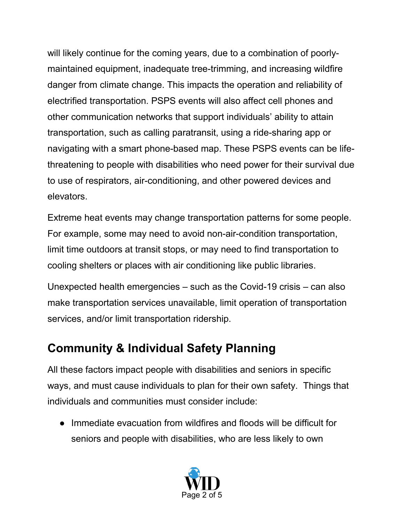will likely continue for the coming years, due to a combination of poorlymaintained equipment, inadequate tree-trimming, and increasing wildfire danger from climate change. This impacts the operation and reliability of electrified transportation. PSPS events will also affect cell phones and other communication networks that support individuals' ability to attain transportation, such as calling paratransit, using a ride-sharing app or navigating with a smart phone-based map. These PSPS events can be lifethreatening to people with disabilities who need power for their survival due to use of respirators, air-conditioning, and other powered devices and elevators.

Extreme heat events may change transportation patterns for some people. For example, some may need to avoid non-air-condition transportation, limit time outdoors at transit stops, or may need to find transportation to cooling shelters or places with air conditioning like public libraries.

Unexpected health emergencies – such as the Covid-19 crisis – can also make transportation services unavailable, limit operation of transportation services, and/or limit transportation ridership.

## **Community & Individual Safety Planning**

All these factors impact people with disabilities and seniors in specific ways, and must cause individuals to plan for their own safety. Things that individuals and communities must consider include:

● Immediate evacuation from wildfires and floods will be difficult for seniors and people with disabilities, who are less likely to own

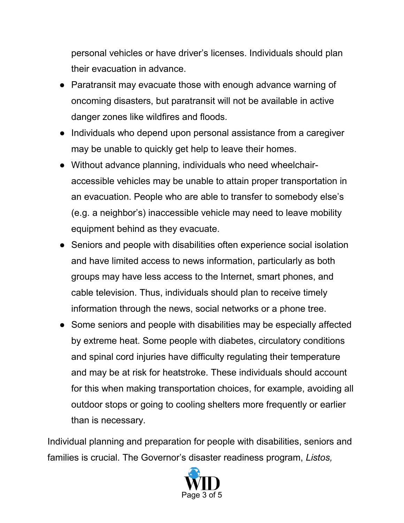personal vehicles or have driver's licenses. Individuals should plan their evacuation in advance.

- Paratransit may evacuate those with enough advance warning of oncoming disasters, but paratransit will not be available in active danger zones like wildfires and floods.
- Individuals who depend upon personal assistance from a caregiver may be unable to quickly get help to leave their homes.
- Without advance planning, individuals who need wheelchairaccessible vehicles may be unable to attain proper transportation in an evacuation. People who are able to transfer to somebody else's (e.g. a neighbor's) inaccessible vehicle may need to leave mobility equipment behind as they evacuate.
- Seniors and people with disabilities often experience social isolation and have limited access to news information, particularly as both groups may have less access to the Internet, smart phones, and cable television. Thus, individuals should plan to receive timely information through the news, social networks or a phone tree.
- Some seniors and people with disabilities may be especially affected by extreme heat. Some people with diabetes, circulatory conditions and spinal cord injuries have difficulty regulating their temperature and may be at risk for heatstroke. These individuals should account for this when making transportation choices, for example, avoiding all outdoor stops or going to cooling shelters more frequently or earlier than is necessary.

Individual planning and preparation for people with disabilities, seniors and families is crucial. The Governor's disaster readiness program, *Listos,* 

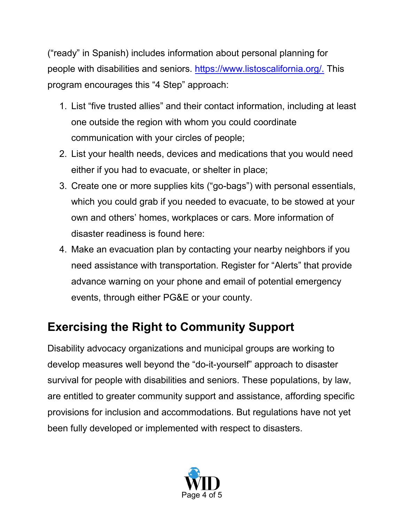("ready" in Spanish) includes information about personal planning for people with disabilities and seniors. [https://www.listoscalifornia.org/.](https://www.listoscalifornia.org/) This program encourages this "4 Step" approach:

- 1. List "five trusted allies" and their contact information, including at least one outside the region with whom you could coordinate communication with your circles of people;
- 2. List your health needs, devices and medications that you would need either if you had to evacuate, or shelter in place;
- 3. Create one or more supplies kits ("go-bags") with personal essentials, which you could grab if you needed to evacuate, to be stowed at your own and others' homes, workplaces or cars. More information of disaster readiness is found here:
- 4. Make an evacuation plan by contacting your nearby neighbors if you need assistance with transportation. Register for "Alerts" that provide advance warning on your phone and email of potential emergency events, through either PG&E or your county.

## **Exercising the Right to Community Support**

Disability advocacy organizations and municipal groups are working to develop measures well beyond the "do-it-yourself" approach to disaster survival for people with disabilities and seniors. These populations, by law, are entitled to greater community support and assistance, affording specific provisions for inclusion and accommodations. But regulations have not yet been fully developed or implemented with respect to disasters.